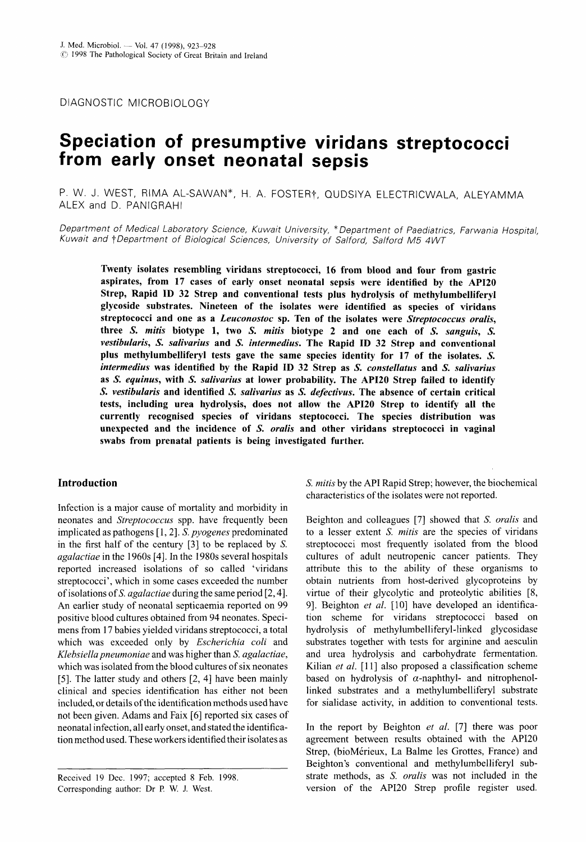DIAGNOSTIC MICROBIOLOGY

# **Speciation of presumptive viridans streptococci from early onset neonatal sepsis**

P. W. J. WEST, RIMA AL-SAWAN\*, H. A. FOSTER†, QUDSIYA ELECTRICWALA, ALEYAMMA ALEX and D. PANlGRAHl

*Department of Medical Laboratory Science, Kuwait University,* \* *Department* of *Paediatrics, Farwania Hospital, Kuwait and TDepartment of Biological Sciences, University* of *Salford, Salford M5 4 WT* 

Twenty isolates resembling viridans streptococci, **16** from blood and four from gastric aspirates, from **17** cases of early onset neonatal sepsis were identified by the **API2O**  Strep, Rapid **ID 32** Strep and conventional tests plus hydrolysis of methylumbelliferyl glycoside substrates. Nineteen of the isolates were identified as species of viridans streptococci and one as a *Leuconostoc* sp. Ten of the isolates were *Streptococcus oralis,*  three *S. mitis* biotype 1, two *S. mitis* biotype **2** and one each of *S. sanguis, S. vestibularis, S. salivarius* and *S. intermedius.* The Rapid **ID 32** Strep and conventional plus methylumbelliferyl tests gave the same species identity for **17** of the isolates. *S. intermedius* was identified by the Rapid **ID 32** Strep as **S.** *constellatus* and *S. salivarius*  as *S. equinus,* with **S.** *salivarius* at lower probability. The **API20** Strep failed to identify *S. vestibularis* and identified *S. salivarius* as *S. defectivus.* The absence of certain critical tests, including urea hydrolysis, does not allow the **API20** Strep to identify all the currently recognised species of viridans steptococci. The species distribution was unexpected and the incidence of *S. oralis* and other viridans streptococci in vaginal swabs from prenatal patients is being investigated further.

## Introduction

Infection is a major cause of mortality and morbidity in neonates and *Streptococcus* spp. have frequently been implicated as pathogens [ 1,2]. *S. pyogenes* predominated in the first half of the century **[3]** to be replaced by S. *agalactiae* in the 1960s [4]. In the 1980s several hospitals reported increased isolations of so called 'viridans streptococci', which in some cases exceeded the number of isolations of *S. agalactiae* during the same period [2,4]. An earlier study of neonatal septicaemia reported on 99 positive blood cultures obtained from 94 neonates. Specimens from 17 babies yielded viridans streptococci, a total which was exceeded only by *Escherichia coli* and *Klehsiella pneumoniae* and was higher than S. *agalactiae,*  which was isolated from the blood cultures of **six** neonates [5]. The latter study and others [2, 4] have been mainly clinical and species identification has either not been included, or details of the identification methods used have not been given. Adams and Faix [6] reported six cases of neonatal infection, all early onset, and stated the identification method used. These workers identified their isolates as

*S. mitis* by the API Rapid Strep; however, the biochemical characteristics of the isolates were not reported.

Beighton and colleagues [7] showed that *S. oralis* and to a lesser extent *S. mitis* are the species of viridans streptococci most frequently isolated from the blood cultures of adult neutropenic cancer patients. They attribute this to the ability of these organisms to obtain nutrients from host-derived glycoproteins by virtue of their glycolytic and proteolytic abilities [8, 9]. Beighton *et al.* [10] have developed an identification scheme for viridans streptococci based on hydrolysis of methylumbelliferyl-linked glycosidase substrates together with tests for arginine and aesculin and urea hydrolysis and carbohydrate fermentation. Kilian *et al.* [11] also proposed a classification scheme based on hydrolysis of  $\alpha$ -naphthyl- and nitrophenollinked substrates and a methylumbelliferyl substrate for sialidase activity, in addition to conventional tests.

In the report by Beighton *et al.* [7] there was poor agreement between results obtained with the API20 Strep, (bioMérieux, La Balme les Grottes, France) and Beighton's conventional and methylumbelliferyl substrate methods, as S. *oralis* was not included in the version of the API20 Strep profile register used.

Received 19 Dec. 1997; accepted **8** Feb. 1998. Corresponding author: Dr P. W. J. West.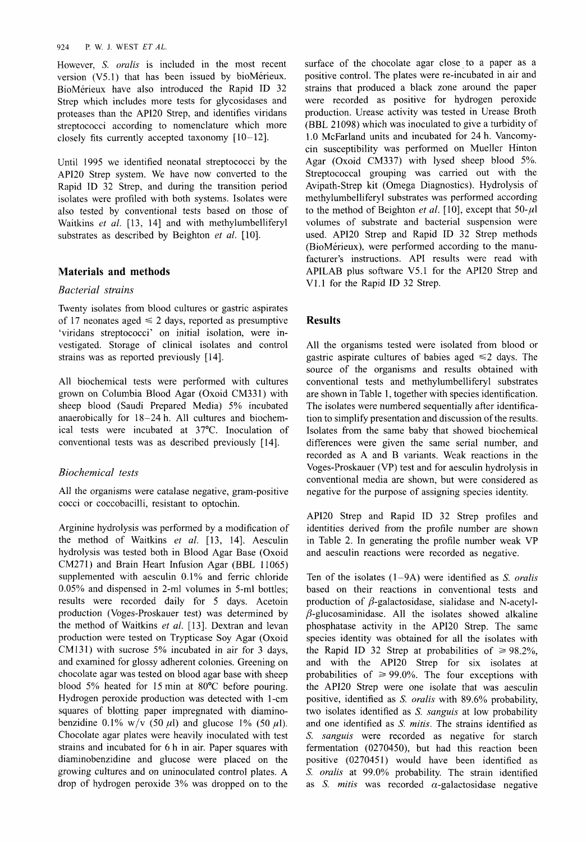#### 924 P. W. J. WEST *ETAL.*

However, *S. oralis* is included in the most recent version (V5.1) that has been issued by bioMérieux. BioMerieux have also introduced the Rapid ID 32 Strep which includes more tests for glycosidases and proteases than the API20 Strep, and identifies viridans streptococci according to nomenclature which more closely fits currently accepted taxonomy  $[10-12]$ .

Until 1995 we identified neonatal streptococci by the API20 Strep system. We have now converted to the Rapid ID 32 Strep, and during the transition period isolates were profiled with both systems. Isolates were also tested by conventional tests based on those of Waitkins *et al.* [13, 141 and with methylumbelliferyl substrates as described by Beighton et al. [10].

## **Materials and methods**

## *Bacterial strains*

Twenty isolates from blood cultures or gastric aspirates of 17 neonates aged  $\leq 2$  days, reported as presumptive 'viridans streptococci' on initial isolation, were investigated. Storage of clinical isolates and control strains was as reported previously [14].

All biochemical tests were performed with cultures grown on Columbia Blood Agar (Oxoid CM331) with sheep blood (Saudi Prepared Media) *5%* incubated anaerobically for 18-24 h. All cultures and biochemical tests were incubated at 37°C. Inoculation of conventional tests was as described previously [ 141.

# *Biochemical tests*

All the organisms were catalase negative, gram-positive cocci or coccobacilli, resistant to optochin.

Arginine hydrolysis was performed by a modification of the method of Waitkins *et al.* [13, 141. Aesculin hydrolysis was tested both in Blood Agar Base (Oxoid CM271) and Brain Heart Infusion Agar (BBL 11065) supplemented with aesculin 0.1% and ferric chloride 0.05% and dispensed in 2-ml volumes in 5-ml bottles; results were recorded daily for 5 days. Acetoin production (Voges-Proskauer test) was determined by the method of Waitkins *et al.* [13]. Dextran and levan production were tested on Trypticase Soy Agar (Oxoid CM131) with sucrose *5%* incubated in air for 3 days, and examined for glossy adherent colonies. Greening on chocolate agar was tested on blood agar base with sheep blood 5% heated for 15 min at 80°C before pouring. Hydrogen peroxide production was detected with 1 -cm squares of blotting paper impregnated with diaminobenzidine 0.1% w/v  $(50 \mu l)$  and glucose 1%  $(50 \mu l)$ . Chocolate agar plates were heavily inoculated with test strains and incubated for 6 h in air. Paper squares with diaminobenzidine and glucose were placed on the growing cultures and on uninoculated control plates. A drop of hydrogen peroxide 3% was dropped on to the

surface of the chocolate agar close to a paper as a positive control. The plates were re-incubated in air and strains that produced a black zone around the paper were recorded as positive for hydrogen peroxide production. Urease activity was tested in Urease Broth (BBL 21098) which was inoculated to give a turbidity of 1.0 McFarland units and incubated for 24 h. Vancomycin susceptibility was performed on Mueller Hinton Agar (Oxoid CM337) with lysed sheep blood *5%.*  Streptococcal grouping was carried out with the Avipath-Strep kit (Omega Diagnostics). Hydrolysis of methylumbelliferyl substrates was performed according to the method of Beighton *et al.* [10], except that  $50-\mu$ ] volumes of substrate and bacterial suspension were used. API20 Strep and Rapid ID 32 Strep methods (BioMérieux), were performed according to the manufacturer's instructions. API results were read with APILAB plus software V5.1 for the API20 Strep and V1.l for the Rapid ID 32 Strep.

# **Results**

All the organisms tested were isolated from blood or gastric aspirate cultures of babies aged  $\leq 2$  days. The source of the organisms and results obtained with conventional tests and methylumbelliferyl substrates are shown in Table 1, together with species identification. The isolates were numbered sequentially after identification to simplify presentation and discussion of the results. Isolates from the same baby that showed biochemical differences were given the same serial number, and recorded as A and B variants. Weak reactions in the Voges-Proskauer (VP) test and for aesculin hydrolysis in conventional media are shown, but were considered as negative for the purpose of assigning species identity.

API20 Strep and Rapid ID 32 Strep profiles and identities derived from the profile number are shown in Table 2. In generating the profile number weak VP and aesculin reactions were recorded as negative.

Ten of the isolates (1-9A) were identified as S. *oralis*  based on their reactions in conventional tests and production of  $\beta$ -galactosidase, sialidase and N-acetyl- $\beta$ -glucosaminidase. All the isolates showed alkaline phosphatase activity in the API20 Strep. The same species identity was obtained for all the isolates with the Rapid ID 32 Strep at probabilities of  $\geq 98.2\%$ , and with the API20 Strep for six isolates at probabilities of  $\geq 99.0\%$ . The four exceptions with the API20 Strep were one isolate that was aesculin positive, identified as S. *oralis* with 89.6% probability, two isolates identified as S. *sanguis* at low probability and one identified as *S. mitis.* The strains identified as S. *sanguis* were recorded as negative for starch fermentation (0270450), but had this reaction been positive (0270451) would have been identified as *5'. oralis* at 99.0% probability. The strain identified as *S. mitis* was recorded  $\alpha$ -galactosidase negative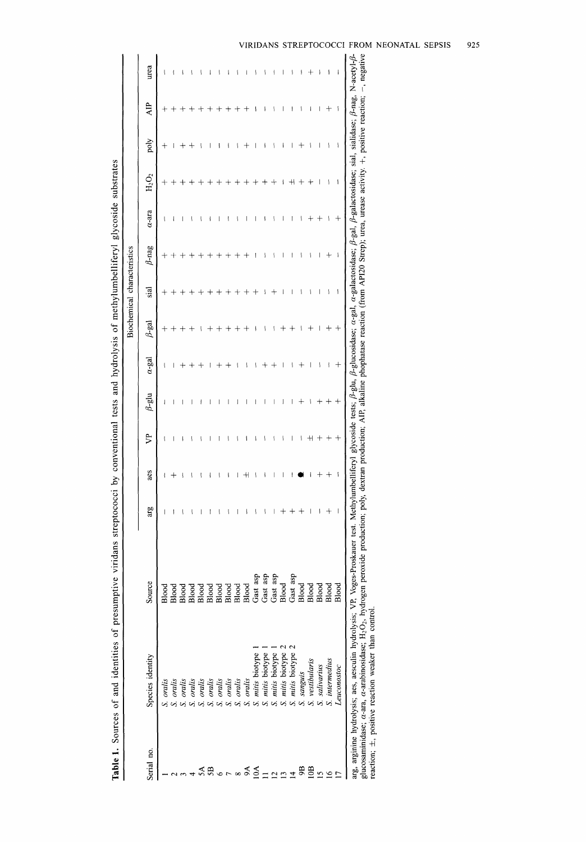| Species identity | Source                                      | arg                                                                 | aes | ይ | $\beta$ -glu | $\alpha$ -gal | $\beta$ -gal | sial | $\beta$ -nag | $a$ -ara                           | $\rm H_2O_2$ | poly                     | <b>AIP</b> | urea                                                                                                                                                                                                                                                                                                                                                                                                                                                                          |
|------------------|---------------------------------------------|---------------------------------------------------------------------|-----|---|--------------|---------------|--------------|------|--------------|------------------------------------|--------------|--------------------------|------------|-------------------------------------------------------------------------------------------------------------------------------------------------------------------------------------------------------------------------------------------------------------------------------------------------------------------------------------------------------------------------------------------------------------------------------------------------------------------------------|
| S. oralis        | Blood                                       |                                                                     |     |   |              |               |              |      |              |                                    |              |                          |            |                                                                                                                                                                                                                                                                                                                                                                                                                                                                               |
| S. oralis        | Blood                                       |                                                                     |     |   |              |               |              |      |              |                                    |              |                          |            |                                                                                                                                                                                                                                                                                                                                                                                                                                                                               |
| S. oralis        | Blood                                       |                                                                     |     |   |              |               |              |      |              |                                    |              |                          |            |                                                                                                                                                                                                                                                                                                                                                                                                                                                                               |
| cralis           | Blood                                       |                                                                     |     |   |              |               |              |      |              |                                    |              |                          |            |                                                                                                                                                                                                                                                                                                                                                                                                                                                                               |
| S. oralis        | Blood                                       |                                                                     |     |   |              |               |              |      |              |                                    |              |                          |            |                                                                                                                                                                                                                                                                                                                                                                                                                                                                               |
| S. oralis        | Blood                                       |                                                                     |     |   |              |               |              |      |              |                                    |              |                          |            |                                                                                                                                                                                                                                                                                                                                                                                                                                                                               |
| S. oralis        | Blood                                       |                                                                     |     |   |              |               |              |      |              |                                    |              |                          |            |                                                                                                                                                                                                                                                                                                                                                                                                                                                                               |
| S. oralis        | Blood                                       |                                                                     |     |   |              |               |              |      |              |                                    |              |                          |            |                                                                                                                                                                                                                                                                                                                                                                                                                                                                               |
|                  | Blood                                       |                                                                     |     |   |              |               |              |      |              |                                    |              |                          |            |                                                                                                                                                                                                                                                                                                                                                                                                                                                                               |
| S. oralis        | Blood                                       | $\mathbf{I}$                                                        |     |   |              |               |              |      |              |                                    |              |                          |            |                                                                                                                                                                                                                                                                                                                                                                                                                                                                               |
| mitis biotype    | Gast asp                                    | ١                                                                   |     |   |              |               |              |      |              |                                    |              |                          |            |                                                                                                                                                                                                                                                                                                                                                                                                                                                                               |
| mitis biotype    | Gast asp                                    | $\overline{\phantom{a}}$                                            |     |   |              |               |              |      |              |                                    |              |                          |            |                                                                                                                                                                                                                                                                                                                                                                                                                                                                               |
|                  |                                             |                                                                     |     |   |              |               |              |      |              |                                    |              |                          |            |                                                                                                                                                                                                                                                                                                                                                                                                                                                                               |
| mitis biotype    | Blood                                       |                                                                     |     |   |              |               |              |      |              |                                    |              |                          |            |                                                                                                                                                                                                                                                                                                                                                                                                                                                                               |
| S. mitis biotype | Gast asp                                    | $^{+}$                                                              |     |   |              |               |              |      |              |                                    |              |                          |            |                                                                                                                                                                                                                                                                                                                                                                                                                                                                               |
|                  | Blood                                       | $^{+}$                                                              |     |   |              |               |              |      |              |                                    |              |                          |            |                                                                                                                                                                                                                                                                                                                                                                                                                                                                               |
| S. vestibularis  | Blood                                       | $\big\}$                                                            |     |   |              |               |              |      |              |                                    |              |                          |            |                                                                                                                                                                                                                                                                                                                                                                                                                                                                               |
| S. salivarius    | Blood                                       | $\mathfrak{f}$                                                      |     |   |              | $\mathbf{I}$  |              | ۱    | ۱            |                                    |              | ۱                        | ۱          |                                                                                                                                                                                                                                                                                                                                                                                                                                                                               |
| S. intermedius   | Blood                                       | $^{+}$                                                              |     |   |              | ł             |              | ۱    | ┿            | ł                                  |              | ۱                        | $^+$       | ۱                                                                                                                                                                                                                                                                                                                                                                                                                                                                             |
| Leuconostoc      | Blood                                       | $\big\}$                                                            | ١   |   |              | $^+$          |              | ł    | ۱            |                                    | ł            | $\overline{\phantom{a}}$ | ١          |                                                                                                                                                                                                                                                                                                                                                                                                                                                                               |
|                  |                                             |                                                                     |     |   |              |               |              |      |              |                                    |              |                          |            |                                                                                                                                                                                                                                                                                                                                                                                                                                                                               |
|                  | S. mitis biotype<br>S. sanguis<br>S. oralis | Gast asp<br>reaction; $\pm$ , positive reaction weaker than control |     |   |              |               |              |      |              | <b>Biochemical</b> characteristics |              |                          |            | glucosaminidase; a-ara, a-arabinosidase; H <sub>2</sub> O <sub>2</sub> , hydrogen peroxide production; poly, dextran production; AIP, alkaline phophatase reaction (from API20 Strep); urea, urease activity. +, positive reaction; --, negative<br>arg, arginine hydrolysis; aes, aesculin hydrolysis; VP, Voges-Proskauer test. Methylumbelliferyl glycoside tests; B-glu, B-glucosidase; a-gal, ac-gal, ac-gal, B-gal, B-galactosidase; sial, sialidase; B-nag, N-acetyl-B |

| Ì                                                                                     |
|---------------------------------------------------------------------------------------|
|                                                                                       |
|                                                                                       |
|                                                                                       |
| ļ<br>l                                                                                |
|                                                                                       |
|                                                                                       |
|                                                                                       |
| ֘֒                                                                                    |
|                                                                                       |
|                                                                                       |
|                                                                                       |
| ֖֖֖֖֖֪ׅ֪ׅ֪ׅ֪ׅׅ֖֪ׅ֪ׅ֪ׅ֪֪ׅ֪֪֪֪֪֪֪֪֪֪֪֪֪֪ׅ֖֚֚֚֚֚֚֚֚֚֚֚֚֚֚֚֚֚֚֚֚֚֬֝֝֝֬֓֞֬֓֞֬֓֞֓֞֓֞֬֝֬֓֞֬֝ |
|                                                                                       |
|                                                                                       |
|                                                                                       |
|                                                                                       |
|                                                                                       |
|                                                                                       |
|                                                                                       |
| ;                                                                                     |
|                                                                                       |
| :<br>;<br>;                                                                           |
|                                                                                       |
|                                                                                       |
|                                                                                       |
|                                                                                       |
|                                                                                       |
|                                                                                       |
|                                                                                       |
|                                                                                       |
|                                                                                       |
|                                                                                       |
|                                                                                       |
|                                                                                       |
|                                                                                       |
|                                                                                       |
|                                                                                       |
|                                                                                       |
|                                                                                       |
|                                                                                       |
|                                                                                       |
|                                                                                       |
| ומים וי                                                                               |
| l                                                                                     |
|                                                                                       |
|                                                                                       |
| ı                                                                                     |
| i                                                                                     |
| j                                                                                     |
| ł                                                                                     |
|                                                                                       |
|                                                                                       |
| i<br>ś<br>֠<br>¢                                                                      |
| ֚֘                                                                                    |
|                                                                                       |
| ١                                                                                     |
| ֪ׅ֚֬֝֬֝֬֝֬֝֬֝֬֝֬֝֬֝֬֝֬֝֬֝֬֝֬֝֬֝֬֝֬֝֬֝֬֝ <b>֟</b>                                      |
| ĺ                                                                                     |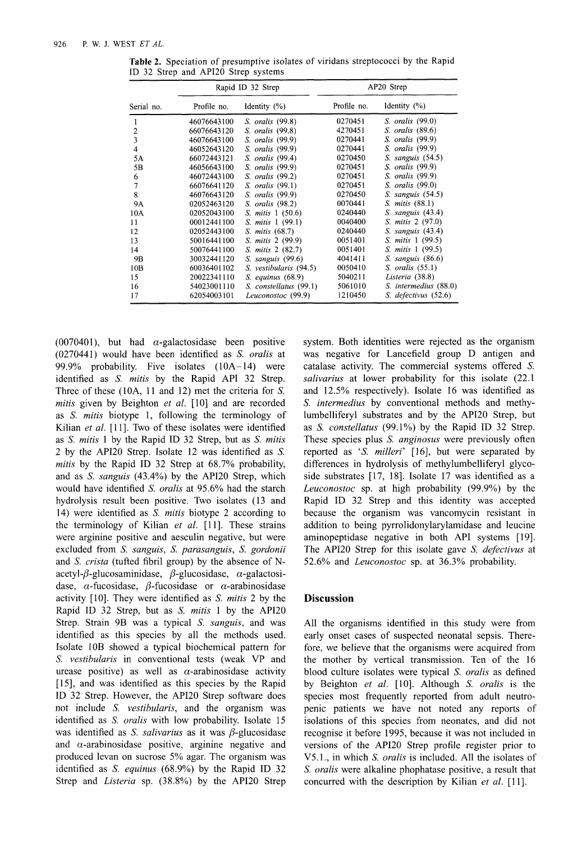|            | Rapid ID 32 Strep |                        | AP20 Strep  |                       |
|------------|-------------------|------------------------|-------------|-----------------------|
| Serial no. | Profile no.       | Identity $(\%)$        | Profile no. | Identity $(\% )$      |
|            | 46076643100       | S. oralis (99.8)       | 0270451     | S. oralis (99.0)      |
| 2          | 66076643120       | S. oralis (99.8)       | 4270451     | S. oralis (89.6)      |
| 3          | 46076643100       | S. oralis (99.9)       | 0270441     | S. oralis (99.9)      |
| 4          | 46052643120       | S. oralis (99.9)       | 0270441     | S. oralis (99.9)      |
| 5A         | 66072443121       | S. oralis (99.4)       | 0270450     | $S.$ sanguis $(54.5)$ |
| 5B         | 46056643100       | S. oralis (99.9)       | 0270451     | S. oralis (99.9)      |
| 6          | 46072443100       | S. oralis (99.2)       | 0270451     | S. oralis (99.9)      |
| 7          | 66076641120       | S. oralis (99.1)       | 0270451     | S. oralis (99.0)      |
| 8          | 46076643120       | S. oralis (99.9)       | 0270450     | $S.$ sanguis $(54.5)$ |
| <b>9A</b>  | 02052463120       | S. oralis (98.2)       | 0070441     | S. mitis (88.1)       |
| 10A        | 02052043100       | S. mitis 1 (50.6)      | 0240440     | $S.$ sanguis $(43.4)$ |
| 11         | 00012441100       | S. mitis 1 (99.1)      | 0040400     | S. mitis 2 (97.0)     |
| 12         | 02052443100       | S. mitis (68.7)        | 0240440     | S. sanguis (43.4)     |
| 13         | 50016441100       | S. mitis 2 (99.9)      | 0051401     | S. mitis 1 (99.5)     |
| 14         | 50076441100       | S. mitis 2 (82.7)      | 0051401     | S. mitis 1 (99.5)     |
| 9Β         | 30032441120       | $S.$ sanguis $(99.6)$  | 4041411     | $S.$ sanguis $(86.6)$ |
| 10B        | 60036401102       | S. vestibularis (94.5) | 0050410     | $S.$ oralis $(55.1)$  |
| 15         | 20022341110       | $S.$ equinus $(68.9)$  | 5040211     | Listeria (38.8)       |
| 16         | 54023001110       | S. constellatus (99.1) | 5061010     | S. intermedius (88.0) |
| 17         | 62054003101       | Leuconostoc (99.9)     | 1210450     | S. defectivus (52.6)  |

**Table 2.** Speciation of presumptive isolates of viridans streptococci by the Rapid ID 32 Strep and API2O Strep systems

(0070401), but had  $\alpha$ -galactosidase been positive (0270441) would have been identified as S. *oralis* at 99.9% probability. Five isolates  $(10A-14)$  were identified as *S. mitis* by the Rapid API 32 Strep. Three of these (IOA, 11 and 12) met the criteria for *S. mitis* given by Beighton *et al.* [10] and are recorded as *S. mitis* biotype 1, following the terminology of Kilian *et al.* [11]. Two of these isolates were identified as S. *mitis* 1 by the Rapid ID 32 Strep, but as S. *mitis*  2 by the API20 Strep. Isolate 12 was identified as *S. mitis* by the Rapid ID 32 Strep at 68.7% probability, and as *S. sanguis* (43.4%) by the API20 Strep, which would have identified S. *oralis* at 95.6% had the starch hydrolysis result been positive. Two isolates (13 and 14) were identified as S. *mitis* biotype 2 according to the terminology of Kilian *et al.* [ll]. These strains were arginine positive and aesculin negative, but were excluded from *S. sanguis, S. parasanguis, S. gordonii*  and *S. crista* (tufted fibril group) by the absence of Nacetyl- $\beta$ -glucosaminidase,  $\beta$ -glucosidase,  $\alpha$ -galactosidase,  $\alpha$ -fucosidase,  $\beta$ -fucosidase or  $\alpha$ -arabinosidase activity [lo]. They were identified as S. *mitis* 2 by the Rapid ID 32 Strep, but as **S.** *mitis* 1 by the API20 Strep. Strain 9B was a typical S. *sanguis,* and was identified as this species by all the methods used. Isolate 10B showed a typical biochemical pattern for *S. vestibularis* in conventional tests (weak VP and urease positive) as well as  $\alpha$ -arabinosidase activity [15], and was identified as this species by the Rapid ID 32 Strep. However, the API20 Strep software does not include **S.** *vestibularis,* and the organism was identified as *S. oralis* with low probability. Isolate 15 was identified as *S. salivarius* as it was  $\beta$ -glucosidase and  $\alpha$ -arabinosidase positive, arginine negative and produced levan on sucrose 5% agar. The organism was identified as S. *equinus* (68.9%) by the Rapid ID 32 Strep and *Listeria* **sp.** (38.8%) by the API20 Strep

system. Both identities were rejected as the organism was negative for Lancefield group D antigen and catalase activity. The commercial systems offered *S. salivarius* at lower probability for this isolate (22.1 and 12.5% respectively). Isolate 16 was identified as S. *intermedius* by conventional methods and methylumbelliferyl substrates and by the API20 Strep, but as S. *constellatus* (99.1%) by the Rapid ID 32 Strep. These species plus *S. anginosus* were previously often reported as *'S. milleri'* [16], but were separated by differences in hydrolysis of methylumbelliferyl glycoside substrates [17, 18]. Isolate 17 was identified as a *Leuconostoc* sp. at high probability (99.9%) by the Rapid ID 32 Strep and this identity was accepted because the organism was vancomycin resistant in addition to being pyrrolidonylarylamidase and leucine aminopeptidase negative in both API systems [19]. The API20 Strep for this isolate gave S. *defectivus* at 52.6% and *Leuconostoc* sp. at 36.3% probability.

#### **Discussion**

All the organisms identified in this study were from early onset cases of suspected neonatal sepsis. Therefore, we believe that the organisms were acquired from the mother by vertical transmission. Ten of the 16 blood culture isolates were typical S. *oralis* as defined by Beighton *et al.* [lo]. Although *S. oralis* is the species most frequently reported from adult neutropenic patients we have not noted any reports of isolations of this species from neonates, and did not recognise it before 1995, because it was not included in versions of the API20 Strep profile register prior to V5.1., in which *S. oralis* is included. All the isolates of *S. oralis* were alkaline phophatase positive, a result that concurred with the description by Kilian et al. [11].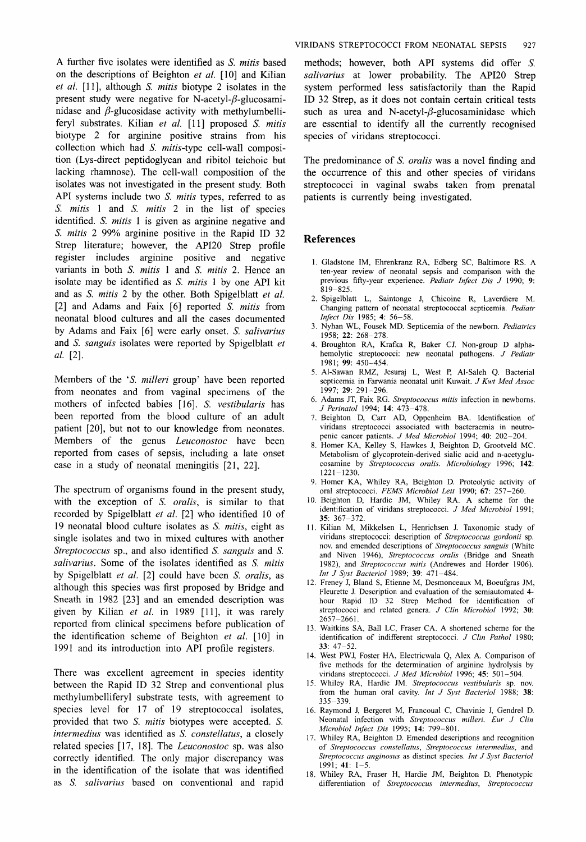A further five isolates were identified as *S. mitis* based on the descriptions of Beighton *et al.* [10] and Kilian *et al.* [l 13, although *S. mitis* biotype 2 isolates in the present study were negative for N-acetyl- $\beta$ -glucosaminidase and  $\beta$ -glucosidase activity with methylumbelliferyl substrates. Kilian *et al.* [ll] proposed *S. mitis*  biotype 2 for arginine positive strains from his collection which had *S. mitis-type* cell-wall composition (Lys-direct peptidoglycan and ribitol teichoic but lacking rhamnose). The cell-wall composition of the isolates was not investigated in the present study. Both API systems include two *S. mitis* types, referred to as *S. mitis* 1 and *S. rnitis* 2 in the list of species identified. *S. mitis* 1 is given as arginine negative and *S. mitis* 2 99% arginine positive in the Rapid ID 32 Strep literature; however, the AP120 Strep profile register includes arginine positive and negative variants in both *S. mitis* 1 and *S. mitis* 2. Hence an isolate may be identified as *S. mitis* 1 by one API kit and as *S. mitis* 2 by the other. Both Spigelblatt *et al.*  [2] and Adams and Faix [6] reported *S. mitis* from neonatal blood cultures and all the cases documented by Adams and Faix [6] were early onset. *S. salivarius*  and *S. sanguis* isolates were reported by Spigelblatt *et al.* [2].

Members of the *'S. milleri* group' have been reported from neonates and from vaginal specimens of the mothers of infected babies [16]. S. *vestibularis* has been reported from the blood culture of an adult patient [20], but not to our knowledge from neonates. Members of the genus *Leuconostoc* have been reported from cases of sepsis, including a late onset case in a study of neonatal meningitis [21, 221.

The spectrum of organisms found in the present study, with the exception of *S. oralis,* is similar to that recorded by Spigelblatt *et al.* [2] who identified 10 of 19 neonatal blood culture isolates as *S. mitis,* eight as single isolates and two in mixed cultures with another *Streptococcus* sp., and also identified *S. sanguis* and *S. salivarius.* Some of the isolates identified as S. *mitis*  by Spigelblatt *et al.* [2] could have been *S. oralis,* as although this species was first proposed by Bridge and Sneath in 1982 [23] and an emended description was given by Kilian *et al.* in 1989 [ll], it was rarely reported from clinical specimens before publication of the identification scheme of Beighton *et al.* [lo] in 1991 and its introduction into API profile registers.

There was excellent agreement in species identity between the Rapid ID 32 Strep and conventional plus methylumbelliferyl substrate tests, with agreement to species level for 17 of 19 streptococcal isolates, provided that two S. *mitis* biotypes were accepted. *S. intermedius* was identified as *S. constellatus,* a closely related species [17, 181. The *Leuconostoc* sp. was also correctly identified. The only major discrepancy was in the identification of the isolate that was identified as S. *salivarius* based on conventional and rapid

methods; however, both API systems did offer *S. salivarius* at lower probability. The API20 Strep system performed less satisfactorily than the Rapid ID 32 Strep, as it does not contain certain critical tests such as urea and N-acetyl- $\beta$ -glucosaminidase which are essential to identify all the currently recognised species of viridans streptococci.

The predominance of *S. oralis* was a novel finding and the occurrence of this and other species of viridans streptococci in vaginal swabs taken from prenatal patients is currently being investigated.

#### **References**

- 1. Gladstone IM, Ehrenkranz RA, Edberg SC, Baltimore RS. A ten-year review of neonatal sepsis and comparison with the previous fifty-year experience. *Pediatr Infect Dis J* 1990; **9:**  819-825.
- 2. Spigelblatt L, Saintonge **J,** Chicoine R, Laverdiere M. Changing pattern of neonatal streptococcal septicemia. *Pediatr Infect Dis* 1985; **4:** 56-58.
- 3. Nyhan WL, Fousek MD. Septicemia of the newborn. *Pediatrics*  1958; **22:** 268-278.
- 4. Broughton RA, Krafka R, Baker CJ. Non-group D alphahemolytic streptococci: new neonatal pathogens. *J Pediatr*  1981; **99:** 450-454.
- 5. Al-Sawan RMZ, Jesuraj L, West **P,** Al-Saleh Q. Bacterial septicemia in Farwania neonatal unit Kuwait. *J Kwt Med Assoc*  1997; **29:** 291-296.
- 6. Adams JT, Faix RG. *Streptococcus mitis* infection in newborns. *J Perinatol* 1994; **14:** 473-478.
- 7. Beighton D, Carr AD, Oppenheim BA. Identification of viridans streptococci associated with bacteraemia in neutropenic cancer patients. *J Med Microbiol* 1994; **40:** 202-204.
- 8. Homer KA, Kelley **S,** Hawkes **J,** Beighton D, Grootveld MC. Metabolism of glycoprotein-derived sialic acid and n-acetyglucosamine by *Streptococcus oralis. Microbiology* 1996; **142:**  <sup>1221</sup>- 1230.
- 9. Homer KA, Whiley RA, Beighton D. Proteolytic activity of oral streptococci. *FEMS Microbiol Lett* 1990; **67:** 257-260.
- 10. Beighton D, Hardie JM, Whiley RA. A scheme for the identification of viridans streptococci. *J Med Microbiol* 1991; **35:** 367-372.
- 1. Kilian M, Mikkelsen L, Henrichsen J. Taxonomic study of viridans streptococci: description of *Streptococcus gordonii* sp. nov. and emended descriptions of *Streptococcus sanguis* (White and Niven 1946), *Streptococcus oralis* (Bridge and Sneath 1982), and *Streptococcus mitis* (Andrewes and Horder 1906). *Int J Syst Bacteriol* 1989; **39:** 471-484.
- 2. Freney J, Bland **S,** Etienne M, Desmonceaux M, Boeufgras JM, Fleurette J. Description and evaluation of the semiautomated 4 hour Rapid ID 32 Strep Method for identification of streptococci and related genera. *J Clin Microbiol* 1992; **30:**  2657-266 1.
- 13. Waitkins **SA,** Ball LC, Fraser CA. A shortened scheme for the identification of indifferent streptococci. *J Clin Pathol* 1980; **33:** 47-52.
- 14. West PWJ, Foster HA, Electricwala Q, Alex A. Comparison of five methods for the determination of arginine hydrolysis by viridans streptococci. *J Med Microbiol* 1996; **45:** 501-504.
- 15. Whiley RA, Hardie JM. *Streptococcus vestibularis* sp. nov. from the human oral cavity. *Int J Syst Bacteriol* 1988; **38:**  335-339.
- 16. Raymond **J,** Bergeret M, Francoual C, Chavinie J, Gendrel D. Neonatal infection with *Streptococcus milleri. Eur J Clin Microbiol Infect Dis* 1995; **14:** 799-801.
- 17. Whiley RA, Beighton D. Emended descriptions and recognition of *Streptococcus constellatus, Streptococcus interrnedius,* and *Streptococcus anginosus* as distinct species. *Int J Syst Bacteriol*  1991; **41:** 1-5.
- 18. Whiley RA, Fraser H, Hardie JM, Beighton D. Phenotypic differentiation of *Streptococcus intermedius, Streptococcus*